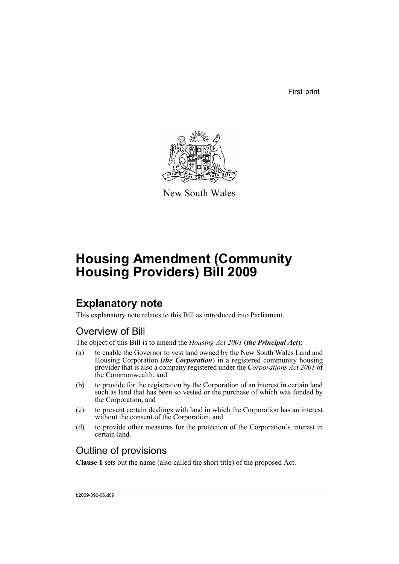First print



New South Wales

# **Housing Amendment (Community Housing Providers) Bill 2009**

## **Explanatory note**

This explanatory note relates to this Bill as introduced into Parliament.

## Overview of Bill

The object of this Bill is to amend the *Housing Act 2001* (*the Principal Act*):

- (a) to enable the Governor to vest land owned by the New South Wales Land and Housing Corporation (*the Corporation*) in a registered community housing provider that is also a company registered under the *Corporations Act 2001* of the Commonwealth, and
- (b) to provide for the registration by the Corporation of an interest in certain land such as land that has been so vested or the purchase of which was funded by the Corporation, and
- (c) to prevent certain dealings with land in which the Corporation has an interest without the consent of the Corporation, and
- (d) to provide other measures for the protection of the Corporation's interest in certain land.

## Outline of provisions

**Clause 1** sets out the name (also called the short title) of the proposed Act.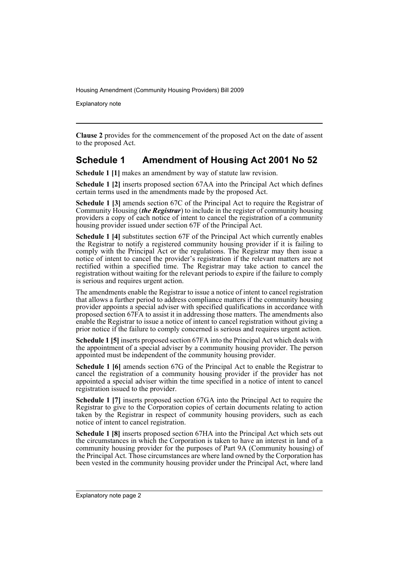Explanatory note

**Clause 2** provides for the commencement of the proposed Act on the date of assent to the proposed Act.

## **Schedule 1 Amendment of Housing Act 2001 No 52**

**Schedule 1 [1]** makes an amendment by way of statute law revision.

**Schedule 1 [2]** inserts proposed section 67AA into the Principal Act which defines certain terms used in the amendments made by the proposed Act.

**Schedule 1 [3]** amends section 67C of the Principal Act to require the Registrar of Community Housing (*the Registrar*) to include in the register of community housing providers a copy of each notice of intent to cancel the registration of a community housing provider issued under section 67F of the Principal Act.

**Schedule 1 [4]** substitutes section 67F of the Principal Act which currently enables the Registrar to notify a registered community housing provider if it is failing to comply with the Principal Act or the regulations. The Registrar may then issue a notice of intent to cancel the provider's registration if the relevant matters are not rectified within a specified time. The Registrar may take action to cancel the registration without waiting for the relevant periods to expire if the failure to comply is serious and requires urgent action.

The amendments enable the Registrar to issue a notice of intent to cancel registration that allows a further period to address compliance matters if the community housing provider appoints a special adviser with specified qualifications in accordance with proposed section 67FA to assist it in addressing those matters. The amendments also enable the Registrar to issue a notice of intent to cancel registration without giving a prior notice if the failure to comply concerned is serious and requires urgent action.

**Schedule 1 [5]** inserts proposed section 67FA into the Principal Act which deals with the appointment of a special adviser by a community housing provider. The person appointed must be independent of the community housing provider.

**Schedule 1 [6]** amends section 67G of the Principal Act to enable the Registrar to cancel the registration of a community housing provider if the provider has not appointed a special adviser within the time specified in a notice of intent to cancel registration issued to the provider.

**Schedule 1 [7]** inserts proposed section 67GA into the Principal Act to require the Registrar to give to the Corporation copies of certain documents relating to action taken by the Registrar in respect of community housing providers, such as each notice of intent to cancel registration.

**Schedule 1 [8]** inserts proposed section 67HA into the Principal Act which sets out the circumstances in which the Corporation is taken to have an interest in land of a community housing provider for the purposes of Part 9A (Community housing) of the Principal Act. Those circumstances are where land owned by the Corporation has been vested in the community housing provider under the Principal Act, where land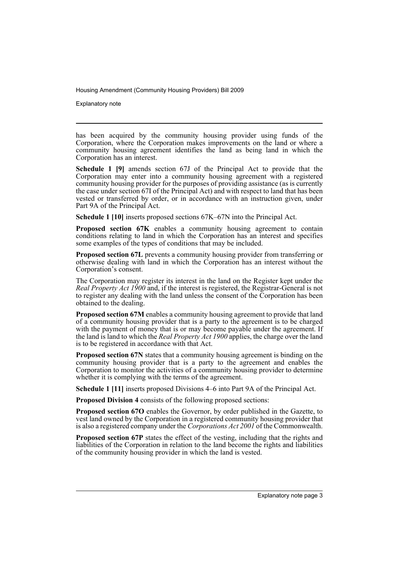Explanatory note

has been acquired by the community housing provider using funds of the Corporation, where the Corporation makes improvements on the land or where a community housing agreement identifies the land as being land in which the Corporation has an interest.

**Schedule 1 [9]** amends section 67J of the Principal Act to provide that the Corporation may enter into a community housing agreement with a registered community housing provider for the purposes of providing assistance (as is currently the case under section 67I of the Principal Act) and with respect to land that has been vested or transferred by order, or in accordance with an instruction given, under Part 9A of the Principal Act.

**Schedule 1 [10]** inserts proposed sections 67K–67N into the Principal Act.

**Proposed section 67K** enables a community housing agreement to contain conditions relating to land in which the Corporation has an interest and specifies some examples of the types of conditions that may be included.

**Proposed section 67L** prevents a community housing provider from transferring or otherwise dealing with land in which the Corporation has an interest without the Corporation's consent.

The Corporation may register its interest in the land on the Register kept under the *Real Property Act 1900* and, if the interest is registered, the Registrar-General is not to register any dealing with the land unless the consent of the Corporation has been obtained to the dealing.

**Proposed section 67M** enables a community housing agreement to provide that land of a community housing provider that is a party to the agreement is to be charged with the payment of money that is or may become payable under the agreement. If the land is land to which the *Real Property Act 1900* applies, the charge over the land is to be registered in accordance with that Act.

**Proposed section 67N** states that a community housing agreement is binding on the community housing provider that is a party to the agreement and enables the Corporation to monitor the activities of a community housing provider to determine whether it is complying with the terms of the agreement.

**Schedule 1 [11]** inserts proposed Divisions 4–6 into Part 9A of the Principal Act.

**Proposed Division 4** consists of the following proposed sections:

**Proposed section 67O** enables the Governor, by order published in the Gazette, to vest land owned by the Corporation in a registered community housing provider that is also a registered company under the *Corporations Act 2001* of the Commonwealth.

**Proposed section 67P** states the effect of the vesting, including that the rights and liabilities of the Corporation in relation to the land become the rights and liabilities of the community housing provider in which the land is vested.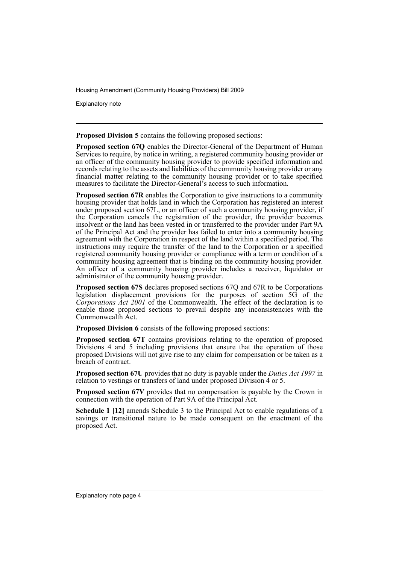Explanatory note

**Proposed Division 5** contains the following proposed sections:

**Proposed section 67Q** enables the Director-General of the Department of Human Services to require, by notice in writing, a registered community housing provider or an officer of the community housing provider to provide specified information and records relating to the assets and liabilities of the community housing provider or any financial matter relating to the community housing provider or to take specified measures to facilitate the Director-General's access to such information.

**Proposed section 67R** enables the Corporation to give instructions to a community housing provider that holds land in which the Corporation has registered an interest under proposed section 67L, or an officer of such a community housing provider, if the Corporation cancels the registration of the provider, the provider becomes insolvent or the land has been vested in or transferred to the provider under Part 9A of the Principal Act and the provider has failed to enter into a community housing agreement with the Corporation in respect of the land within a specified period. The instructions may require the transfer of the land to the Corporation or a specified registered community housing provider or compliance with a term or condition of a community housing agreement that is binding on the community housing provider. An officer of a community housing provider includes a receiver, liquidator or administrator of the community housing provider.

**Proposed section 67S** declares proposed sections 67Q and 67R to be Corporations legislation displacement provisions for the purposes of section 5G of the *Corporations Act 2001* of the Commonwealth. The effect of the declaration is to enable those proposed sections to prevail despite any inconsistencies with the Commonwealth Act.

**Proposed Division 6** consists of the following proposed sections:

**Proposed section 67T** contains provisions relating to the operation of proposed Divisions 4 and 5 including provisions that ensure that the operation of those proposed Divisions will not give rise to any claim for compensation or be taken as a breach of contract.

**Proposed section 67U** provides that no duty is payable under the *Duties Act 1997* in relation to vestings or transfers of land under proposed Division 4 or 5.

**Proposed section 67V** provides that no compensation is payable by the Crown in connection with the operation of Part 9A of the Principal Act.

**Schedule 1 [12]** amends Schedule 3 to the Principal Act to enable regulations of a savings or transitional nature to be made consequent on the enactment of the proposed Act.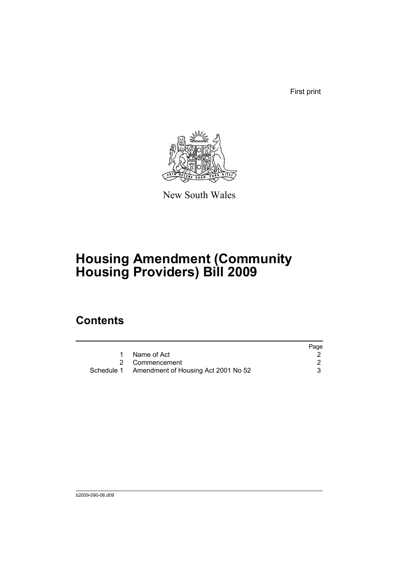First print



New South Wales

# **Housing Amendment (Community Housing Providers) Bill 2009**

## **Contents**

|                                                | Page |
|------------------------------------------------|------|
| Name of Act                                    |      |
| 2 Commencement                                 |      |
| Schedule 1 Amendment of Housing Act 2001 No 52 |      |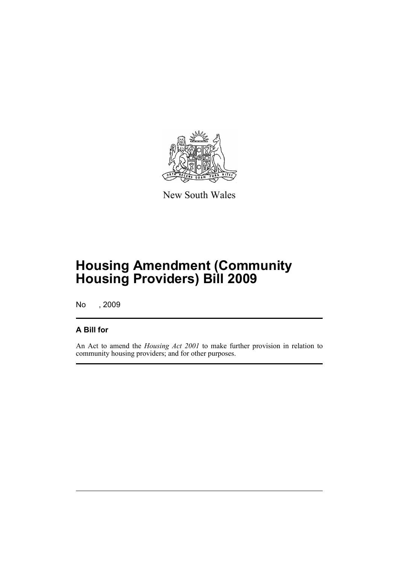

New South Wales

## **Housing Amendment (Community Housing Providers) Bill 2009**

No , 2009

## **A Bill for**

An Act to amend the *Housing Act 2001* to make further provision in relation to community housing providers; and for other purposes.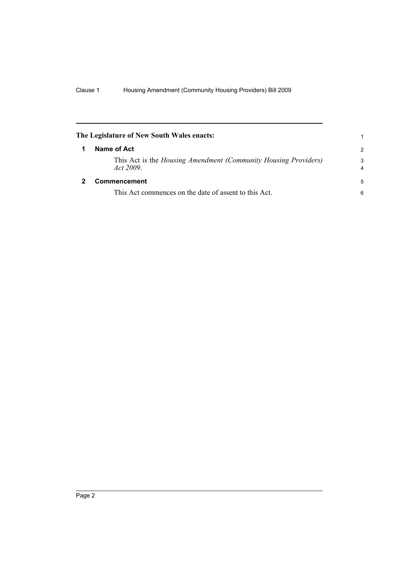<span id="page-7-1"></span><span id="page-7-0"></span>

| The Legislature of New South Wales enacts: |                                                                             |                     |
|--------------------------------------------|-----------------------------------------------------------------------------|---------------------|
|                                            | Name of Act                                                                 | $\mathcal{P}$       |
|                                            | This Act is the Housing Amendment (Community Housing Providers)<br>Act 2009 | 3<br>$\overline{4}$ |
|                                            | <b>Commencement</b>                                                         | 5                   |
|                                            | This Act commences on the date of assent to this Act.                       | 6                   |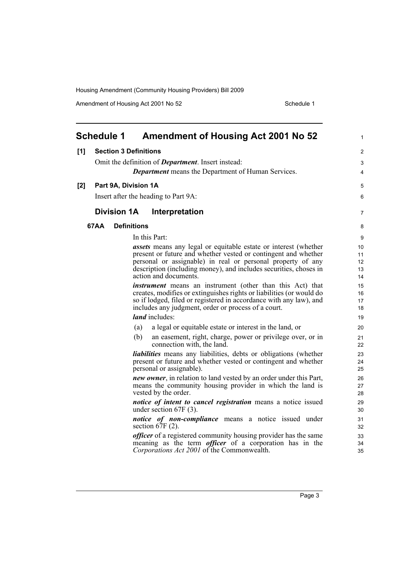Amendment of Housing Act 2001 No 52 Schedule 1

<span id="page-8-0"></span>

|     | <b>Schedule 1</b>  | <b>Amendment of Housing Act 2001 No 52</b>                                                                                                                                                                                                                                                            | 1                          |
|-----|--------------------|-------------------------------------------------------------------------------------------------------------------------------------------------------------------------------------------------------------------------------------------------------------------------------------------------------|----------------------------|
| [1] |                    | <b>Section 3 Definitions</b>                                                                                                                                                                                                                                                                          | $\overline{2}$             |
|     |                    | Omit the definition of <i>Department</i> . Insert instead:                                                                                                                                                                                                                                            | 3                          |
|     |                    | <b>Department</b> means the Department of Human Services.                                                                                                                                                                                                                                             | 4                          |
| [2] |                    | Part 9A, Division 1A                                                                                                                                                                                                                                                                                  | 5                          |
|     |                    | Insert after the heading to Part 9A:                                                                                                                                                                                                                                                                  | 6                          |
|     | <b>Division 1A</b> | Interpretation                                                                                                                                                                                                                                                                                        | 7                          |
|     | 67AA               | <b>Definitions</b>                                                                                                                                                                                                                                                                                    | 8                          |
|     |                    | In this Part:                                                                                                                                                                                                                                                                                         | 9                          |
|     |                    | <i>assets</i> means any legal or equitable estate or interest (whether<br>present or future and whether vested or contingent and whether<br>personal or assignable) in real or personal property of any<br>description (including money), and includes securities, choses in<br>action and documents. | 10<br>11<br>12<br>13<br>14 |
|     |                    | <i>instrument</i> means an instrument (other than this Act) that<br>creates, modifies or extinguishes rights or liabilities (or would do<br>so if lodged, filed or registered in accordance with any law), and<br>includes any judgment, order or process of a court.                                 | 15<br>16<br>17<br>18       |
|     |                    | <i>land</i> includes:                                                                                                                                                                                                                                                                                 | 19                         |
|     |                    | (a)<br>a legal or equitable estate or interest in the land, or                                                                                                                                                                                                                                        | 20                         |
|     |                    | (b)<br>an easement, right, charge, power or privilege over, or in<br>connection with, the land.                                                                                                                                                                                                       | 21<br>22                   |
|     |                    | liabilities means any liabilities, debts or obligations (whether<br>present or future and whether vested or contingent and whether<br>personal or assignable).                                                                                                                                        | 23<br>24<br>25             |
|     |                    | <i>new owner</i> , in relation to land vested by an order under this Part,<br>means the community housing provider in which the land is<br>vested by the order.                                                                                                                                       | 26<br>27<br>28             |
|     |                    | notice of intent to cancel registration means a notice issued<br>under section 67F (3).                                                                                                                                                                                                               | 29<br>30                   |
|     |                    | notice of non-compliance means a notice issued under<br>section $67F(2)$ .                                                                                                                                                                                                                            | 31<br>32                   |
|     |                    | <i>officer</i> of a registered community housing provider has the same<br>meaning as the term <i>officer</i> of a corporation has in the<br>Corporations Act 2001 of the Commonwealth.                                                                                                                | 33<br>34<br>35             |

Page 3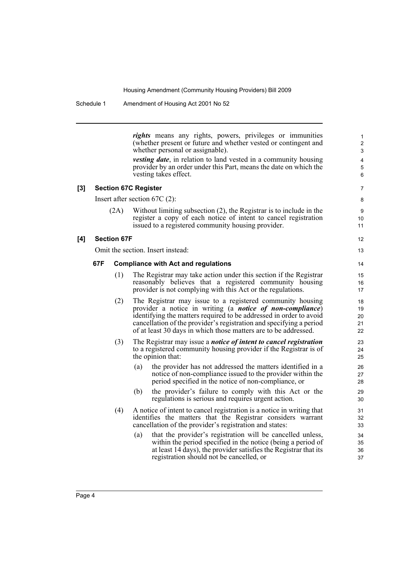Schedule 1 Amendment of Housing Act 2001 No 52

*rights* means any rights, powers, privileges or immunities (whether present or future and whether vested or contingent and whether personal or assignable). *vesting date*, in relation to land vested in a community housing provider by an order under this Part, means the date on which the vesting takes effect. **[3] Section 67C Register** Insert after section 67C (2): (2A) Without limiting subsection (2), the Registrar is to include in the register a copy of each notice of intent to cancel registration issued to a registered community housing provider. **[4] Section 67F** Omit the section. Insert instead: **67F Compliance with Act and regulations** (1) The Registrar may take action under this section if the Registrar reasonably believes that a registered community housing provider is not complying with this Act or the regulations. (2) The Registrar may issue to a registered community housing provider a notice in writing (a *notice of non-compliance*) identifying the matters required to be addressed in order to avoid cancellation of the provider's registration and specifying a period of at least 30 days in which those matters are to be addressed. (3) The Registrar may issue a *notice of intent to cancel registration* to a registered community housing provider if the Registrar is of the opinion that: (a) the provider has not addressed the matters identified in a notice of non-compliance issued to the provider within the period specified in the notice of non-compliance, or (b) the provider's failure to comply with this Act or the regulations is serious and requires urgent action. (4) A notice of intent to cancel registration is a notice in writing that identifies the matters that the Registrar considers warrant cancellation of the provider's registration and states: (a) that the provider's registration will be cancelled unless, within the period specified in the notice (being a period of at least 14 days), the provider satisfies the Registrar that its registration should not be cancelled, or 1 2 3 4 5 6 7 8 9 10 11 12 13 14 15 16 17 18 19  $20$ 21 22 23 24 25 26 27 28 29 30 31 32 33 34 35 36 37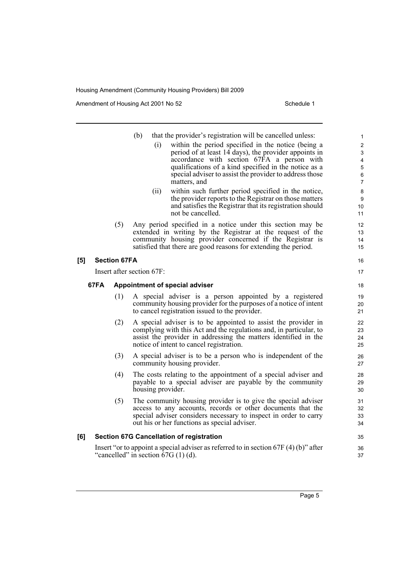Amendment of Housing Act 2001 No 52 Schedule 1

**[5]** 

|     |      |                     | (b)<br>that the provider's registration will be cancelled unless:<br>within the period specified in the notice (being a<br>(i)<br>period of at least 14 days), the provider appoints in<br>accordance with section 67FA a person with<br>qualifications of a kind specified in the notice as a<br>special adviser to assist the provider to address those<br>matters, and<br>within such further period specified in the notice,<br>(ii)<br>the provider reports to the Registrar on those matters<br>and satisfies the Registrar that its registration should<br>not be cancelled. | $\mathbf{1}$<br>$\boldsymbol{2}$<br>$\ensuremath{\mathsf{3}}$<br>4<br>$\mathbf 5$<br>6<br>$\overline{7}$<br>8<br>9<br>10<br>11 |
|-----|------|---------------------|-------------------------------------------------------------------------------------------------------------------------------------------------------------------------------------------------------------------------------------------------------------------------------------------------------------------------------------------------------------------------------------------------------------------------------------------------------------------------------------------------------------------------------------------------------------------------------------|--------------------------------------------------------------------------------------------------------------------------------|
|     |      | (5)                 | Any period specified in a notice under this section may be<br>extended in writing by the Registrar at the request of the<br>community housing provider concerned if the Registrar is<br>satisfied that there are good reasons for extending the period.                                                                                                                                                                                                                                                                                                                             | 12<br>13<br>14<br>15                                                                                                           |
| [5] |      | <b>Section 67FA</b> |                                                                                                                                                                                                                                                                                                                                                                                                                                                                                                                                                                                     | 16                                                                                                                             |
|     |      |                     | Insert after section 67F:                                                                                                                                                                                                                                                                                                                                                                                                                                                                                                                                                           | 17                                                                                                                             |
|     | 67FA |                     | Appointment of special adviser                                                                                                                                                                                                                                                                                                                                                                                                                                                                                                                                                      | 18                                                                                                                             |
|     |      | (1)                 | A special adviser is a person appointed by a registered<br>community housing provider for the purposes of a notice of intent<br>to cancel registration issued to the provider.                                                                                                                                                                                                                                                                                                                                                                                                      | 19<br>20<br>21                                                                                                                 |
|     |      | (2)                 | A special adviser is to be appointed to assist the provider in<br>complying with this Act and the regulations and, in particular, to<br>assist the provider in addressing the matters identified in the<br>notice of intent to cancel registration.                                                                                                                                                                                                                                                                                                                                 | 22<br>23<br>24<br>25                                                                                                           |
|     |      | (3)                 | A special adviser is to be a person who is independent of the<br>community housing provider.                                                                                                                                                                                                                                                                                                                                                                                                                                                                                        | 26<br>27                                                                                                                       |
|     |      | (4)                 | The costs relating to the appointment of a special adviser and<br>payable to a special adviser are payable by the community<br>housing provider.                                                                                                                                                                                                                                                                                                                                                                                                                                    | 28<br>29<br>30                                                                                                                 |
|     |      | (5)                 | The community housing provider is to give the special adviser<br>access to any accounts, records or other documents that the<br>special adviser considers necessary to inspect in order to carry<br>out his or her functions as special adviser.                                                                                                                                                                                                                                                                                                                                    | 31<br>32<br>33<br>34                                                                                                           |
| [6] |      |                     | <b>Section 67G Cancellation of registration</b>                                                                                                                                                                                                                                                                                                                                                                                                                                                                                                                                     | 35                                                                                                                             |
|     |      |                     | Insert "or to appoint a special adviser as referred to in section $67F(4)(b)$ " after<br>"cancelled" in section $67G(1)(d)$ .                                                                                                                                                                                                                                                                                                                                                                                                                                                       | 36<br>37                                                                                                                       |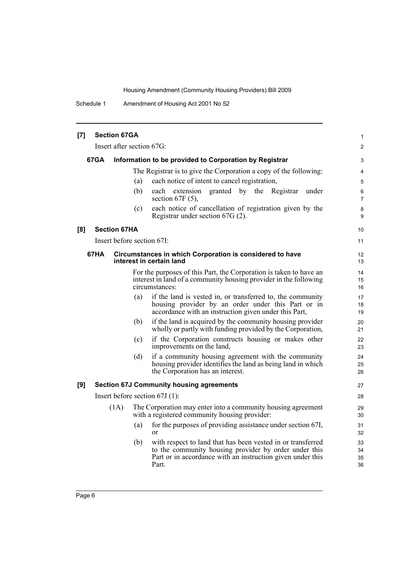Schedule 1 Amendment of Housing Act 2001 No 52

| [7] |      | <b>Section 67GA</b>        |     |                                                                                                                                                                                             | 1                    |
|-----|------|----------------------------|-----|---------------------------------------------------------------------------------------------------------------------------------------------------------------------------------------------|----------------------|
|     |      | Insert after section 67G:  |     |                                                                                                                                                                                             | $\overline{2}$       |
|     | 67GA |                            |     | Information to be provided to Corporation by Registrar                                                                                                                                      | 3                    |
|     |      |                            |     | The Registrar is to give the Corporation a copy of the following:                                                                                                                           | 4                    |
|     |      |                            | (a) | each notice of intent to cancel registration,                                                                                                                                               | 5                    |
|     |      |                            | (b) | each extension<br>granted by the Registrar<br>under<br>section 67F $(5)$ ,                                                                                                                  | 6<br>$\overline{7}$  |
|     |      |                            | (c) | each notice of cancellation of registration given by the<br>Registrar under section 67G (2).                                                                                                | 8<br>9               |
| [8] |      | <b>Section 67HA</b>        |     |                                                                                                                                                                                             | 10                   |
|     |      | Insert before section 67I: |     |                                                                                                                                                                                             | 11                   |
|     | 67HA |                            |     | Circumstances in which Corporation is considered to have<br>interest in certain land                                                                                                        | 12<br>13             |
|     |      |                            |     | For the purposes of this Part, the Corporation is taken to have an<br>interest in land of a community housing provider in the following<br>circumstances:                                   | 14<br>15<br>16       |
|     |      |                            | (a) | if the land is vested in, or transferred to, the community<br>housing provider by an order under this Part or in<br>accordance with an instruction given under this Part,                   | 17<br>18<br>19       |
|     |      |                            | (b) | if the land is acquired by the community housing provider<br>wholly or partly with funding provided by the Corporation,                                                                     | 20<br>21             |
|     |      |                            | (c) | if the Corporation constructs housing or makes other<br>improvements on the land,                                                                                                           | 22<br>23             |
|     |      |                            | (d) | if a community housing agreement with the community<br>housing provider identifies the land as being land in which<br>the Corporation has an interest.                                      | 24<br>25<br>26       |
| [9] |      |                            |     | <b>Section 67J Community housing agreements</b>                                                                                                                                             | 27                   |
|     |      |                            |     | Insert before section $67J(1)$ :                                                                                                                                                            | 28                   |
|     |      | (1A)                       |     | The Corporation may enter into a community housing agreement<br>with a registered community housing provider:                                                                               | 29<br>30             |
|     |      |                            | (a) | for the purposes of providing assistance under section 67I,<br>$\alpha$ r                                                                                                                   | 31<br>32             |
|     |      |                            | (b) | with respect to land that has been vested in or transferred<br>to the community housing provider by order under this<br>Part or in accordance with an instruction given under this<br>Part. | 33<br>34<br>35<br>36 |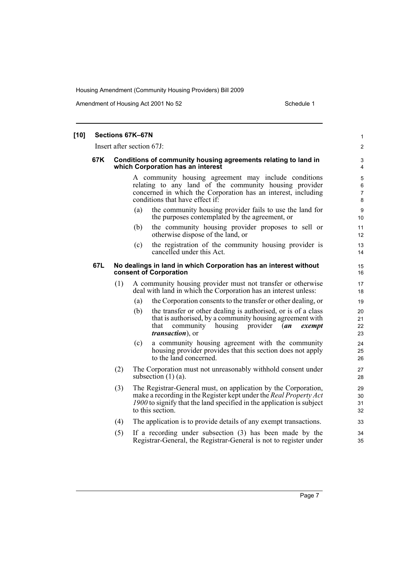Amendment of Housing Act 2001 No 52 Schedule 1

| [10] |     | Sections 67K-67N          |     |                                                                                                                                                                                                                                  | 1                                   |
|------|-----|---------------------------|-----|----------------------------------------------------------------------------------------------------------------------------------------------------------------------------------------------------------------------------------|-------------------------------------|
|      |     | Insert after section 67J: |     |                                                                                                                                                                                                                                  | 2                                   |
|      | 67K |                           |     | Conditions of community housing agreements relating to land in<br>which Corporation has an interest                                                                                                                              | $\ensuremath{\mathsf{3}}$<br>4      |
|      |     |                           |     | A community housing agreement may include conditions<br>relating to any land of the community housing provider<br>concerned in which the Corporation has an interest, including<br>conditions that have effect if:               | 5<br>$\,6\,$<br>$\overline{7}$<br>8 |
|      |     |                           | (a) | the community housing provider fails to use the land for<br>the purposes contemplated by the agreement, or                                                                                                                       | 9<br>10                             |
|      |     |                           | (b) | the community housing provider proposes to sell or<br>otherwise dispose of the land, or                                                                                                                                          | 11<br>12                            |
|      |     |                           | (c) | the registration of the community housing provider is<br>cancelled under this Act.                                                                                                                                               | 13<br>14                            |
|      | 67L |                           |     | No dealings in land in which Corporation has an interest without<br>consent of Corporation                                                                                                                                       | 15<br>16                            |
|      |     | (1)                       |     | A community housing provider must not transfer or otherwise<br>deal with land in which the Corporation has an interest unless:                                                                                                   | 17<br>18                            |
|      |     |                           | (a) | the Corporation consents to the transfer or other dealing, or                                                                                                                                                                    | 19                                  |
|      |     |                           | (b) | the transfer or other dealing is authorised, or is of a class<br>that is authorised, by a community housing agreement with<br>provider<br>that<br>community<br>housing<br>(an<br>exempt<br><i>transaction</i> ), or              | 20<br>21<br>22<br>23                |
|      |     |                           | (c) | a community housing agreement with the community<br>housing provider provides that this section does not apply<br>to the land concerned.                                                                                         | 24<br>25<br>26                      |
|      |     | (2)                       |     | The Corporation must not unreasonably withhold consent under<br>subsection $(1)$ (a).                                                                                                                                            | 27<br>28                            |
|      |     | (3)                       |     | The Registrar-General must, on application by the Corporation,<br>make a recording in the Register kept under the Real Property Act<br>1900 to signify that the land specified in the application is subject<br>to this section. | 29<br>30<br>31<br>32                |
|      |     | (4)                       |     | The application is to provide details of any exempt transactions.                                                                                                                                                                | 33                                  |
|      |     | (5)                       |     | If a recording under subsection (3) has been made by the<br>Registrar-General, the Registrar-General is not to register under                                                                                                    | 34<br>35                            |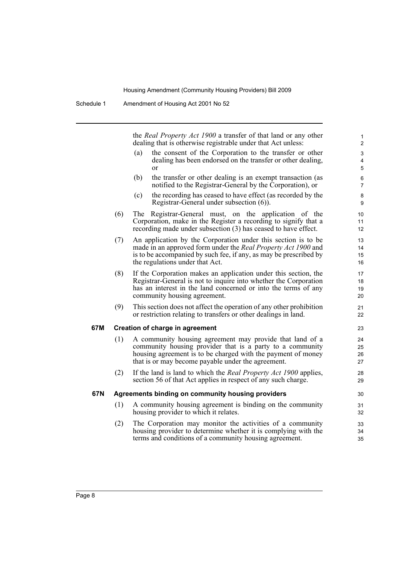the *Real Property Act 1900* a transfer of that land or any other dealing that is otherwise registrable under that Act unless:

- (a) the consent of the Corporation to the transfer or other dealing has been endorsed on the transfer or other dealing, or
- (b) the transfer or other dealing is an exempt transaction (as notified to the Registrar-General by the Corporation), or
- (c) the recording has ceased to have effect (as recorded by the Registrar-General under subsection (6)).
- (6) The Registrar-General must, on the application of the Corporation, make in the Register a recording to signify that a recording made under subsection (3) has ceased to have effect.
- (7) An application by the Corporation under this section is to be made in an approved form under the *Real Property Act 1900* and is to be accompanied by such fee, if any, as may be prescribed by the regulations under that Act.
- (8) If the Corporation makes an application under this section, the Registrar-General is not to inquire into whether the Corporation has an interest in the land concerned or into the terms of any community housing agreement.
- (9) This section does not affect the operation of any other prohibition or restriction relating to transfers or other dealings in land.

### **67M Creation of charge in agreement**

- (1) A community housing agreement may provide that land of a community housing provider that is a party to a community housing agreement is to be charged with the payment of money that is or may become payable under the agreement.
- (2) If the land is land to which the *Real Property Act 1900* applies, section 56 of that Act applies in respect of any such charge.

### **67N Agreements binding on community housing providers**

- (1) A community housing agreement is binding on the community housing provider to which it relates.
- (2) The Corporation may monitor the activities of a community housing provider to determine whether it is complying with the terms and conditions of a community housing agreement.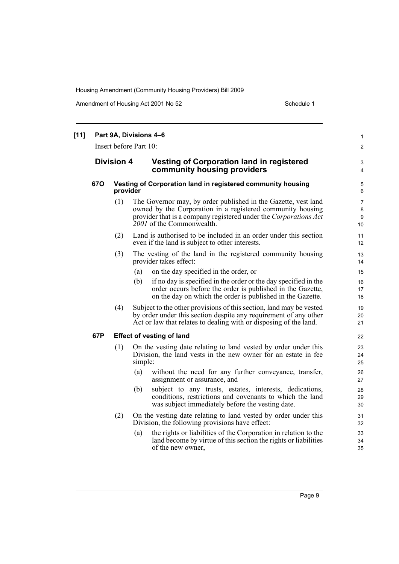Amendment of Housing Act 2001 No 52 Schedule 1

| $[11]$ |            |                   | Part 9A, Divisions 4-6<br>Insert before Part 10:                                                                                                                                                                              | $\mathbf{1}$<br>$\overline{2}$ |
|--------|------------|-------------------|-------------------------------------------------------------------------------------------------------------------------------------------------------------------------------------------------------------------------------|--------------------------------|
|        |            | <b>Division 4</b> | <b>Vesting of Corporation land in registered</b><br>community housing providers                                                                                                                                               | 3<br>$\overline{4}$            |
|        | <b>670</b> | provider          | Vesting of Corporation land in registered community housing                                                                                                                                                                   | 5<br>6                         |
|        |            | (1)               | The Governor may, by order published in the Gazette, vest land<br>owned by the Corporation in a registered community housing<br>provider that is a company registered under the Corporations Act<br>2001 of the Commonwealth. | $\overline{7}$<br>8<br>9<br>10 |
|        |            | (2)               | Land is authorised to be included in an order under this section<br>even if the land is subject to other interests.                                                                                                           | 11<br>12                       |
|        |            | (3)               | The vesting of the land in the registered community housing<br>provider takes effect:                                                                                                                                         | 13<br>14                       |
|        |            |                   | (a)<br>on the day specified in the order, or                                                                                                                                                                                  | 15                             |
|        |            |                   | if no day is specified in the order or the day specified in the<br>(b)<br>order occurs before the order is published in the Gazette,<br>on the day on which the order is published in the Gazette.                            | 16<br>17<br>18                 |
|        |            | (4)               | Subject to the other provisions of this section, land may be vested<br>by order under this section despite any requirement of any other<br>Act or law that relates to dealing with or disposing of the land.                  | 19<br>20<br>21                 |
|        | 67P        |                   | <b>Effect of vesting of land</b>                                                                                                                                                                                              | 22                             |
|        |            | (1)               | On the vesting date relating to land vested by order under this<br>Division, the land vests in the new owner for an estate in fee<br>simple:                                                                                  | 23<br>24<br>25                 |
|        |            |                   | without the need for any further conveyance, transfer,<br>(a)<br>assignment or assurance, and                                                                                                                                 | 26<br>27                       |
|        |            |                   | subject to any trusts, estates, interests, dedications,<br>(b)<br>conditions, restrictions and covenants to which the land<br>was subject immediately before the vesting date.                                                | 28<br>29<br>30                 |
|        |            | (2)               | On the vesting date relating to land vested by order under this<br>Division, the following provisions have effect:                                                                                                            | 31<br>32                       |
|        |            |                   | the rights or liabilities of the Corporation in relation to the<br>(a)<br>land become by virtue of this section the rights or liabilities<br>of the new owner,                                                                | 33<br>34<br>35                 |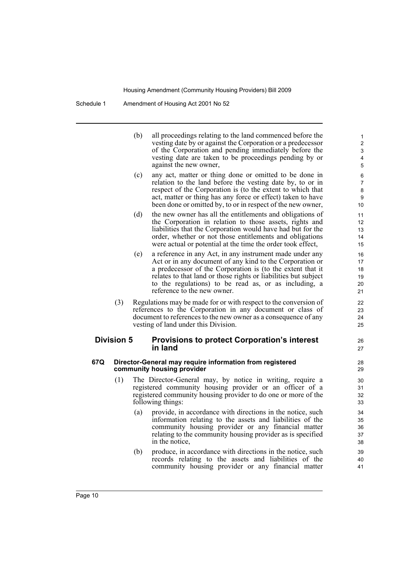| (b) | all proceedings relating to the land commenced before the   |
|-----|-------------------------------------------------------------|
|     | vesting date by or against the Corporation or a predecessor |
|     | of the Corporation and pending immediately before the       |
|     | vesting date are taken to be proceedings pending by or      |
|     | against the new owner.                                      |

26 27

- (c) any act, matter or thing done or omitted to be done in relation to the land before the vesting date by, to or in respect of the Corporation is (to the extent to which that act, matter or thing has any force or effect) taken to have been done or omitted by, to or in respect of the new owner,
- (d) the new owner has all the entitlements and obligations of the Corporation in relation to those assets, rights and liabilities that the Corporation would have had but for the order, whether or not those entitlements and obligations were actual or potential at the time the order took effect,
- (e) a reference in any Act, in any instrument made under any Act or in any document of any kind to the Corporation or a predecessor of the Corporation is (to the extent that it relates to that land or those rights or liabilities but subject to the regulations) to be read as, or as including, a reference to the new owner.
- (3) Regulations may be made for or with respect to the conversion of references to the Corporation in any document or class of document to references to the new owner as a consequence of any vesting of land under this Division.

### **Division 5 Provisions to protect Corporation's interest in land**

### **67Q Director-General may require information from registered community housing provider**

- (1) The Director-General may, by notice in writing, require a registered community housing provider or an officer of a registered community housing provider to do one or more of the following things:
	- (a) provide, in accordance with directions in the notice, such information relating to the assets and liabilities of the community housing provider or any financial matter relating to the community housing provider as is specified in the notice,
	- (b) produce, in accordance with directions in the notice, such records relating to the assets and liabilities of the community housing provider or any financial matter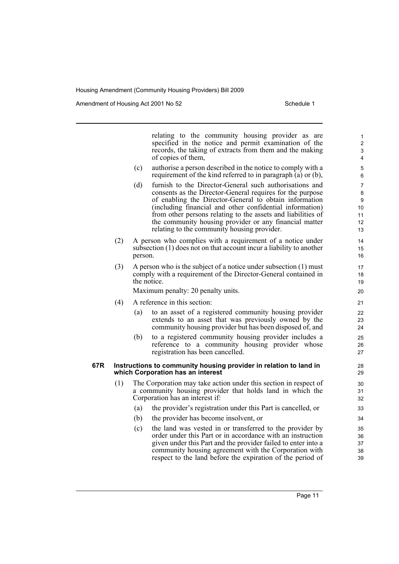Amendment of Housing Act 2001 No 52 Schedule 1

relating to the community housing provider as are specified in the notice and permit examination of the records, the taking of extracts from them and the making of copies of them, (c) authorise a person described in the notice to comply with a requirement of the kind referred to in paragraph (a) or (b),

- (d) furnish to the Director-General such authorisations and consents as the Director-General requires for the purpose of enabling the Director-General to obtain information (including financial and other confidential information) from other persons relating to the assets and liabilities of the community housing provider or any financial matter relating to the community housing provider.
- (2) A person who complies with a requirement of a notice under subsection (1) does not on that account incur a liability to another person.
- (3) A person who is the subject of a notice under subsection (1) must comply with a requirement of the Director-General contained in the notice.

Maximum penalty: 20 penalty units.

- (4) A reference in this section:
	- (a) to an asset of a registered community housing provider extends to an asset that was previously owned by the community housing provider but has been disposed of, and
	- (b) to a registered community housing provider includes a reference to a community housing provider whose registration has been cancelled.

### **67R Instructions to community housing provider in relation to land in which Corporation has an interest**

- (1) The Corporation may take action under this section in respect of a community housing provider that holds land in which the Corporation has an interest if:
	- (a) the provider's registration under this Part is cancelled, or
	- (b) the provider has become insolvent, or
	- (c) the land was vested in or transferred to the provider by order under this Part or in accordance with an instruction given under this Part and the provider failed to enter into a community housing agreement with the Corporation with respect to the land before the expiration of the period of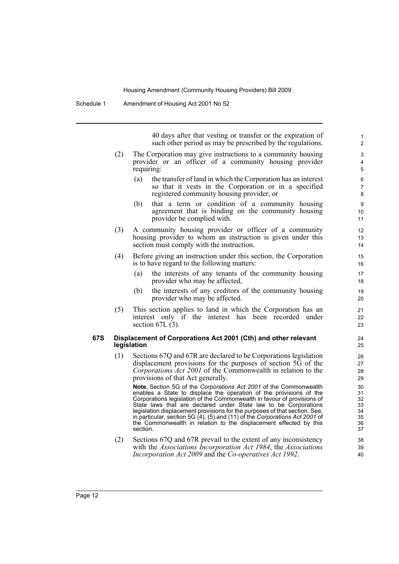40 days after that vesting or transfer or the expiration of such other period as may be prescribed by the regulations.

- (2) The Corporation may give instructions to a community housing provider or an officer of a community housing provider requiring:
	- (a) the transfer of land in which the Corporation has an interest so that it vests in the Corporation or in a specified registered community housing provider, or
	- (b) that a term or condition of a community housing agreement that is binding on the community housing provider be complied with.
- (3) A community housing provider or officer of a community housing provider to whom an instruction is given under this section must comply with the instruction.
- (4) Before giving an instruction under this section, the Corporation is to have regard to the following matters:
	- (a) the interests of any tenants of the community housing provider who may be affected,
	- (b) the interests of any creditors of the community housing provider who may be affected.
- (5) This section applies to land in which the Corporation has an interest only if the interest has been recorded under section  $67L(3)$ .

### **67S Displacement of Corporations Act 2001 (Cth) and other relevant legislation**

(1) Sections 67Q and 67R are declared to be Corporations legislation displacement provisions for the purposes of section 5G of the *Corporations Act 2001* of the Commonwealth in relation to the provisions of that Act generally.

**Note.** Section 5G of the *Corporations Act 2001* of the Commonwealth enables a State to displace the operation of the provisions of the Corporations legislation of the Commonwealth in favour of provisions of State laws that are declared under State law to be Corporations legislation displacement provisions for the purposes of that section. See, in particular, section 5G (4), (5) and (11) of the *Corporations Act 2001* of the Commonwealth in relation to the displacement effected by this section.

(2) Sections 67Q and 67R prevail to the extent of any inconsistency with the *Associations Incorporation Act 1984*, the *Associations Incorporation Act 2009* and the *Co-operatives Act 1992*.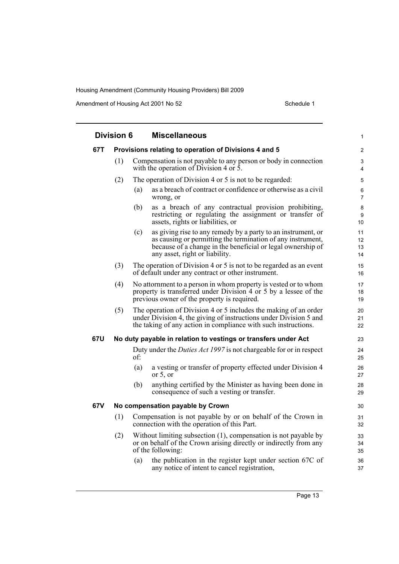Amendment of Housing Act 2001 No 52 Schedule 1

|     | <b>Division 6</b> |     | <b>Miscellaneous</b>                                                                                                                                                                                                         |                      |
|-----|-------------------|-----|------------------------------------------------------------------------------------------------------------------------------------------------------------------------------------------------------------------------------|----------------------|
| 67T |                   |     | Provisions relating to operation of Divisions 4 and 5                                                                                                                                                                        | $\overline{c}$       |
|     | (1)               |     | Compensation is not payable to any person or body in connection<br>with the operation of Division 4 or 5.                                                                                                                    | 3<br>4               |
|     | (2)               |     | The operation of Division 4 or 5 is not to be regarded:                                                                                                                                                                      | 5                    |
|     |                   | (a) | as a breach of contract or confidence or otherwise as a civil<br>wrong, or                                                                                                                                                   | 6<br>$\overline{7}$  |
|     |                   | (b) | as a breach of any contractual provision prohibiting,<br>restricting or regulating the assignment or transfer of<br>assets, rights or liabilities, or                                                                        | 8<br>9<br>10         |
|     |                   | (c) | as giving rise to any remedy by a party to an instrument, or<br>as causing or permitting the termination of any instrument,<br>because of a change in the beneficial or legal ownership of<br>any asset, right or liability. | 11<br>12<br>13<br>14 |
|     | (3)               |     | The operation of Division 4 or 5 is not to be regarded as an event<br>of default under any contract or other instrument.                                                                                                     | 15<br>16             |
|     | (4)               |     | No attornment to a person in whom property is vested or to whom<br>property is transferred under Division 4 or 5 by a lessee of the<br>previous owner of the property is required.                                           | 17<br>18<br>19       |
|     | (5)               |     | The operation of Division 4 or 5 includes the making of an order<br>under Division 4, the giving of instructions under Division 5 and<br>the taking of any action in compliance with such instructions.                      | 20<br>21<br>22       |
| 67U |                   |     | No duty payable in relation to vestings or transfers under Act                                                                                                                                                               | 23                   |
|     |                   | of: | Duty under the <i>Duties Act 1997</i> is not chargeable for or in respect                                                                                                                                                    | 24<br>25             |
|     |                   | (a) | a vesting or transfer of property effected under Division 4<br>or $5$ , or                                                                                                                                                   | 26<br>27             |
|     |                   | (b) | anything certified by the Minister as having been done in<br>consequence of such a vesting or transfer.                                                                                                                      | 28<br>29             |
| 67V |                   |     | No compensation payable by Crown                                                                                                                                                                                             | 30                   |
|     | (1)               |     | Compensation is not payable by or on behalf of the Crown in<br>connection with the operation of this Part.                                                                                                                   | 31<br>32             |
|     | (2)               |     | Without limiting subsection (1), compensation is not payable by<br>or on behalf of the Crown arising directly or indirectly from any<br>of the following:                                                                    | 33<br>34<br>35       |
|     |                   | (a) | the publication in the register kept under section 67C of<br>any notice of intent to cancel registration,                                                                                                                    | 36<br>37             |